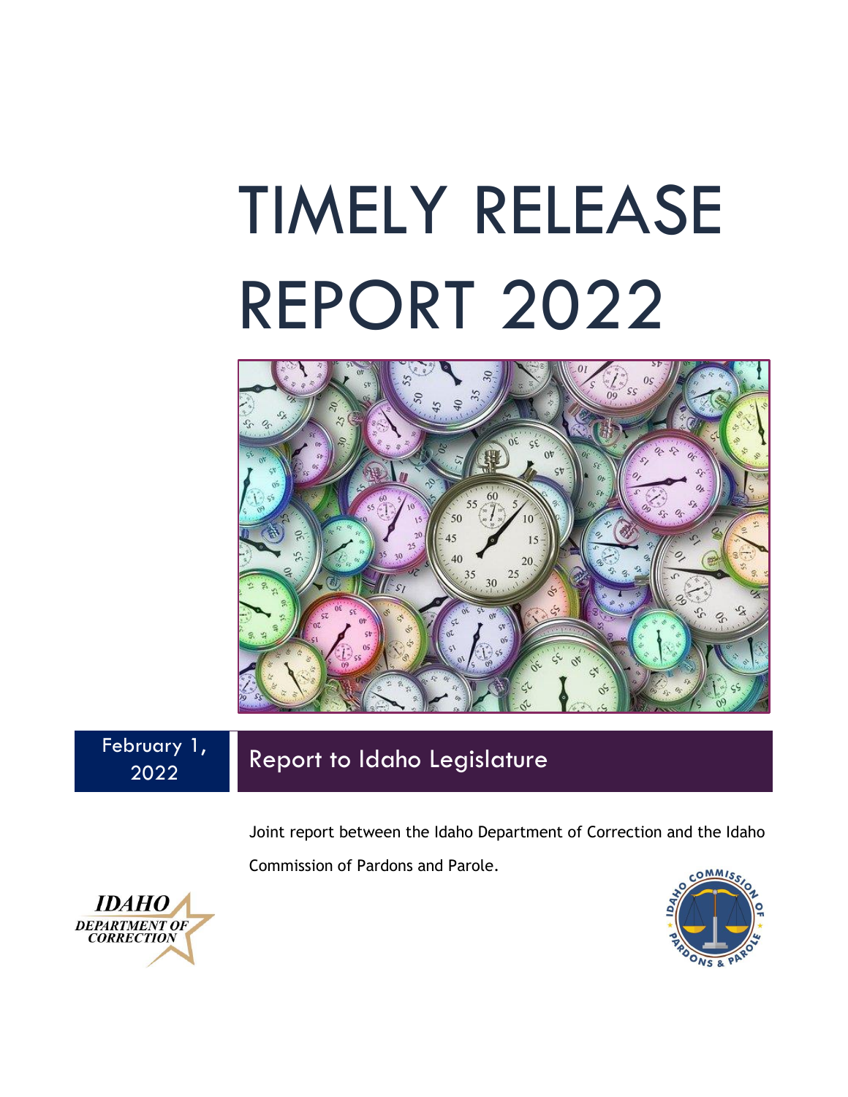# TIMELY RELEASE REPORT 2022



February 1, 2022

## Report to Idaho Legislature

Joint report between the Idaho Department of Correction and the Idaho Commission of Pardons and Parole.



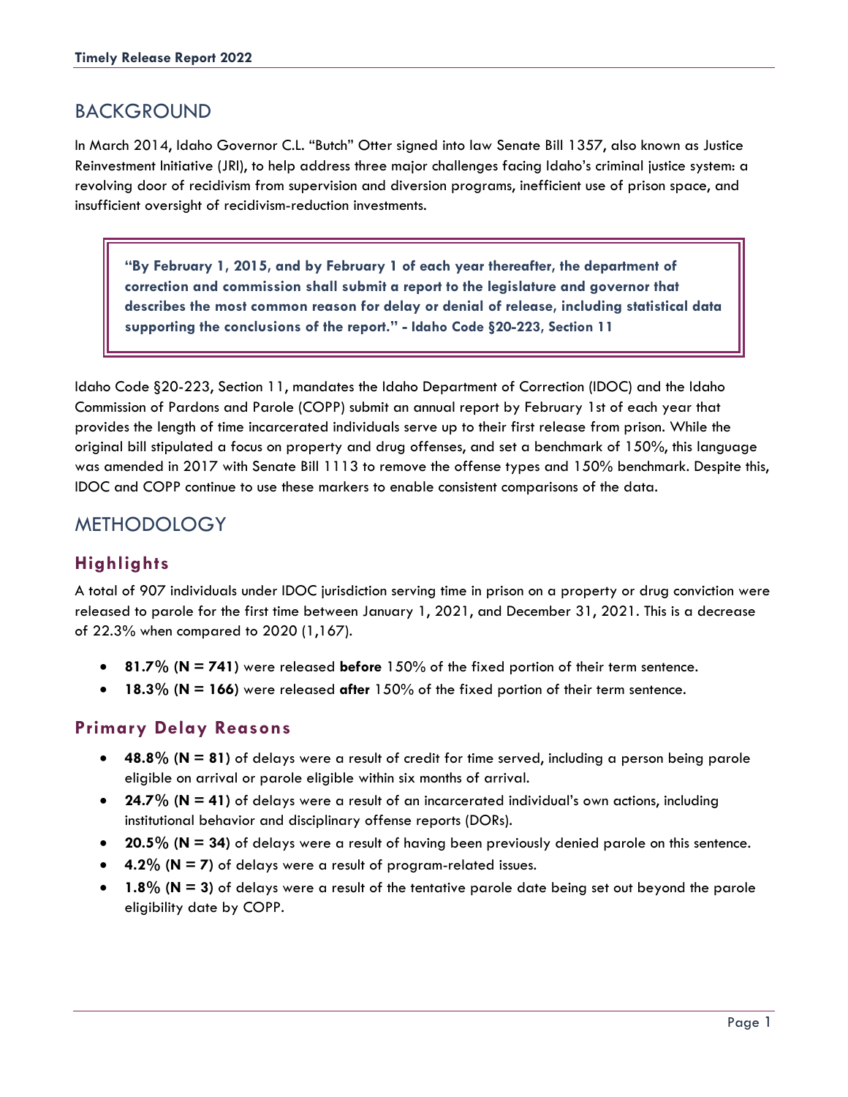## BACKGROUND

In March 2014, Idaho Governor C.L. "Butch" Otter signed into law Senate Bill 1357, also known as Justice Reinvestment Initiative (JRI), to help address three major challenges facing Idaho's criminal justice system: a revolving door of recidivism from supervision and diversion programs, inefficient use of prison space, and insufficient oversight of recidivism-reduction investments.

**"By February 1, 2015, and by February 1 of each year thereafter, the department of correction and commission shall submit a report to the legislature and governor that describes the most common reason for delay or denial of release, including statistical data supporting the conclusions of the report." - Idaho Code §20-223, Section 11**

Idaho Code §20-223, Section 11, mandates the Idaho Department of Correction (IDOC) and the Idaho Commission of Pardons and Parole (COPP) submit an annual report by February 1st of each year that provides the length of time incarcerated individuals serve up to their first release from prison. While the original bill stipulated a focus on property and drug offenses, and set a benchmark of 150%, this language was amended in 2017 with Senate Bill 1113 to remove the offense types and 150% benchmark. Despite this, IDOC and COPP continue to use these markers to enable consistent comparisons of the data.

## **METHODOLOGY**

### **Highlights**

A total of 907 individuals under IDOC jurisdiction serving time in prison on a property or drug conviction were released to parole for the first time between January 1, 2021, and December 31, 2021. This is a decrease of 22.3% when compared to 2020 (1,167).

- **81.7% (N = 741)** were released **before** 150% of the fixed portion of their term sentence.
- **18.3% (N = 166)** were released **after** 150% of the fixed portion of their term sentence.

#### **Primary Delay Reasons**

- **48.8% (N = 81)** of delays were a result of credit for time served, including a person being parole eligible on arrival or parole eligible within six months of arrival.
- **24.7% (N = 41)** of delays were a result of an incarcerated individual's own actions, including institutional behavior and disciplinary offense reports (DORs).
- **20.5% (N = 34)** of delays were a result of having been previously denied parole on this sentence.
- **4.2% (N = 7)** of delays were a result of program-related issues.
- **1.8% (N = 3)** of delays were a result of the tentative parole date being set out beyond the parole eligibility date by COPP.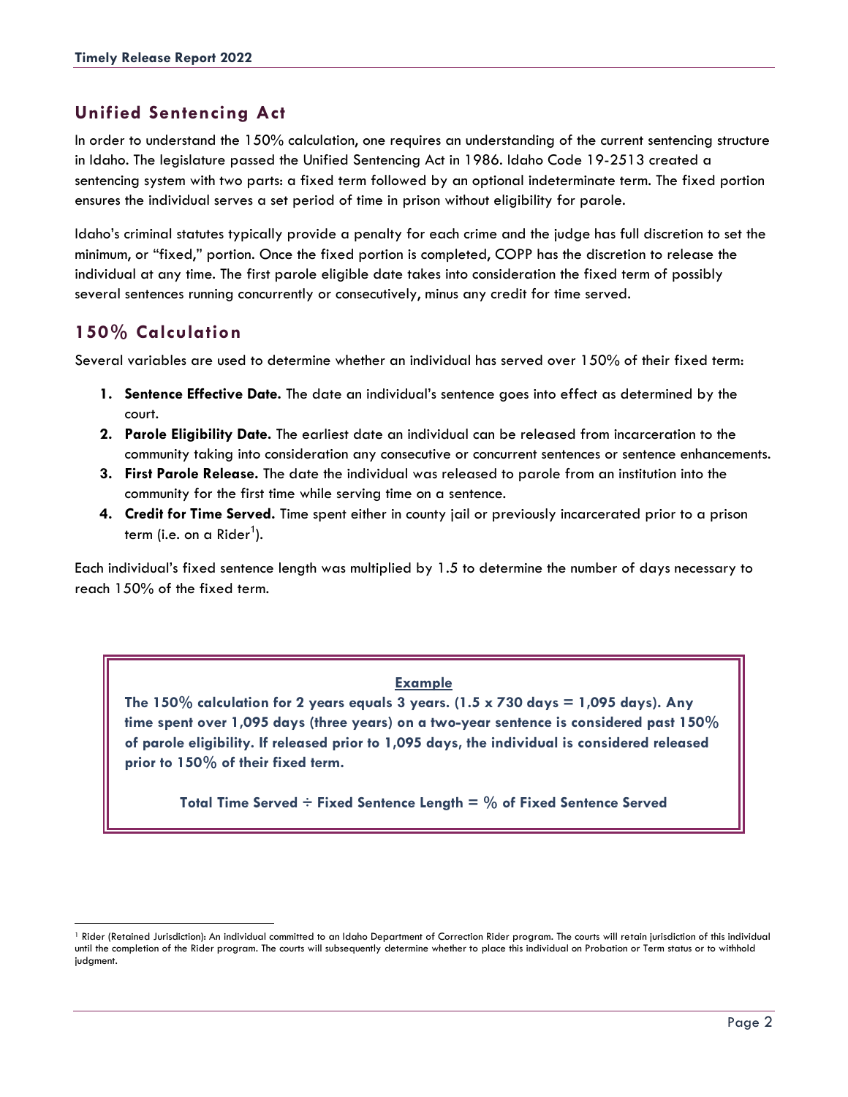#### **Unified Sentencing Act**

In order to understand the 150% calculation, one requires an understanding of the current sentencing structure in Idaho. The legislature passed the Unified Sentencing Act in 1986. Idaho Code 19-2513 created a sentencing system with two parts: a fixed term followed by an optional indeterminate term. The fixed portion ensures the individual serves a set period of time in prison without eligibility for parole.

Idaho's criminal statutes typically provide a penalty for each crime and the judge has full discretion to set the minimum, or "fixed," portion. Once the fixed portion is completed, COPP has the discretion to release the individual at any time. The first parole eligible date takes into consideration the fixed term of possibly several sentences running concurrently or consecutively, minus any credit for time served.

#### **150% Calculation**

Several variables are used to determine whether an individual has served over 150% of their fixed term:

- **1. Sentence Effective Date.** The date an individual's sentence goes into effect as determined by the court.
- **2. Parole Eligibility Date.** The earliest date an individual can be released from incarceration to the community taking into consideration any consecutive or concurrent sentences or sentence enhancements.
- **3. First Parole Release.** The date the individual was released to parole from an institution into the community for the first time while serving time on a sentence.
- **4. Credit for Time Served.** Time spent either in county jail or previously incarcerated prior to a prison term (i.e. on a Rider<sup>1</sup>).

Each individual's fixed sentence length was multiplied by 1.5 to determine the number of days necessary to reach 150% of the fixed term.

#### **Example**

The  $150\%$  calculation for 2 years equals 3 years. ( $1.5 \times 730$  days  $= 1,095$  days). Any **time spent over 1,095 days (three years) on a two-year sentence is considered past 150% of parole eligibility. If released prior to 1,095 days, the individual is considered released prior to 150% of their fixed term.**

**Total Time Served ÷ Fixed Sentence Length = % of Fixed Sentence Served**

<sup>&</sup>lt;sup>1</sup> Rider (Retained Jurisdiction): An individual committed to an Idaho Department of Correction Rider program. The courts will retain jurisdiction of this individual until the completion of the Rider program. The courts will subsequently determine whether to place this individual on Probation or Term status or to withhold judgment.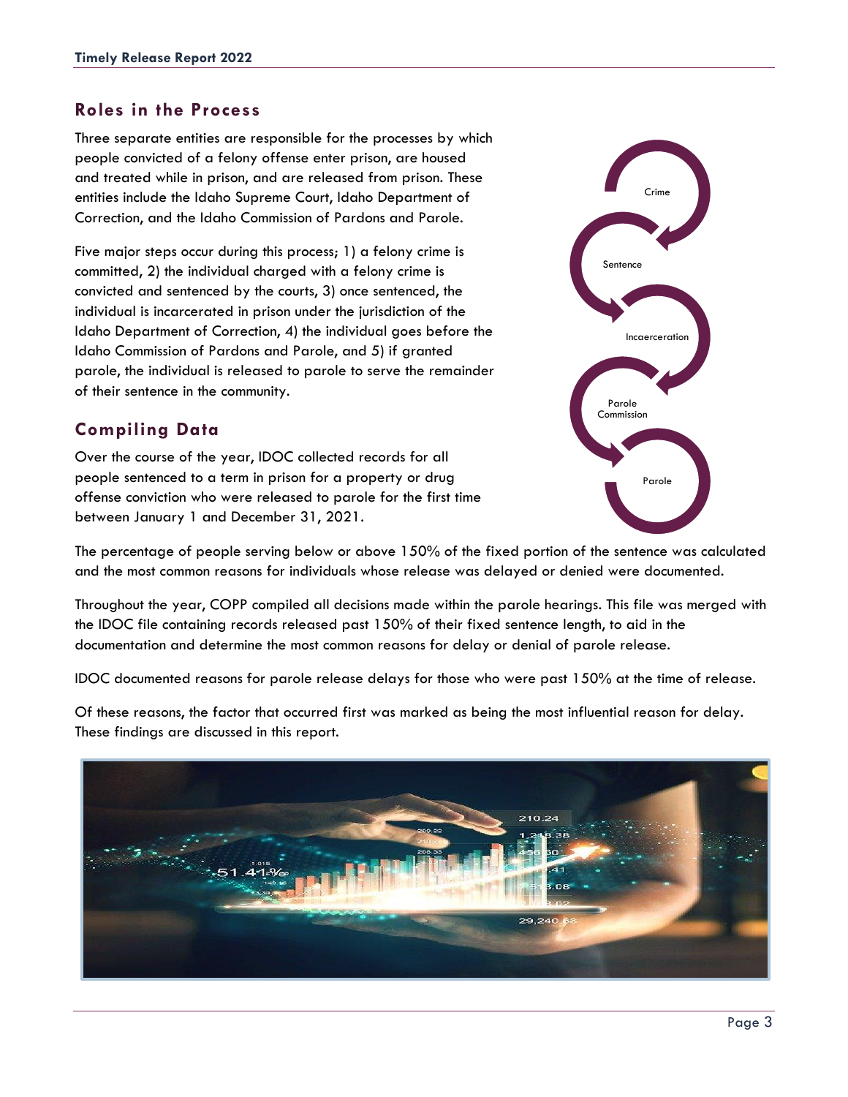#### **Roles in the Process**

Three separate entities are responsible for the processes by which people convicted of a felony offense enter prison, are housed and treated while in prison, and are released from prison. These entities include the Idaho Supreme Court, Idaho Department of Correction, and the Idaho Commission of Pardons and Parole.

Five major steps occur during this process; 1) a felony crime is committed, 2) the individual charged with a felony crime is convicted and sentenced by the courts, 3) once sentenced, the individual is incarcerated in prison under the jurisdiction of the Idaho Department of Correction, 4) the individual goes before the Idaho Commission of Pardons and Parole, and 5) if granted parole, the individual is released to parole to serve the remainder of their sentence in the community.

#### **Compiling Data**

Over the course of the year, IDOC collected records for all people sentenced to a term in prison for a property or drug offense conviction who were released to parole for the first time between January 1 and December 31, 2021.



The percentage of people serving below or above 150% of the fixed portion of the sentence was calculated and the most common reasons for individuals whose release was delayed or denied were documented.

Throughout the year, COPP compiled all decisions made within the parole hearings. This file was merged with the IDOC file containing records released past 150% of their fixed sentence length, to aid in the documentation and determine the most common reasons for delay or denial of parole release.

IDOC documented reasons for parole release delays for those who were past 150% at the time of release.

Of these reasons, the factor that occurred first was marked as being the most influential reason for delay. These findings are discussed in this report.

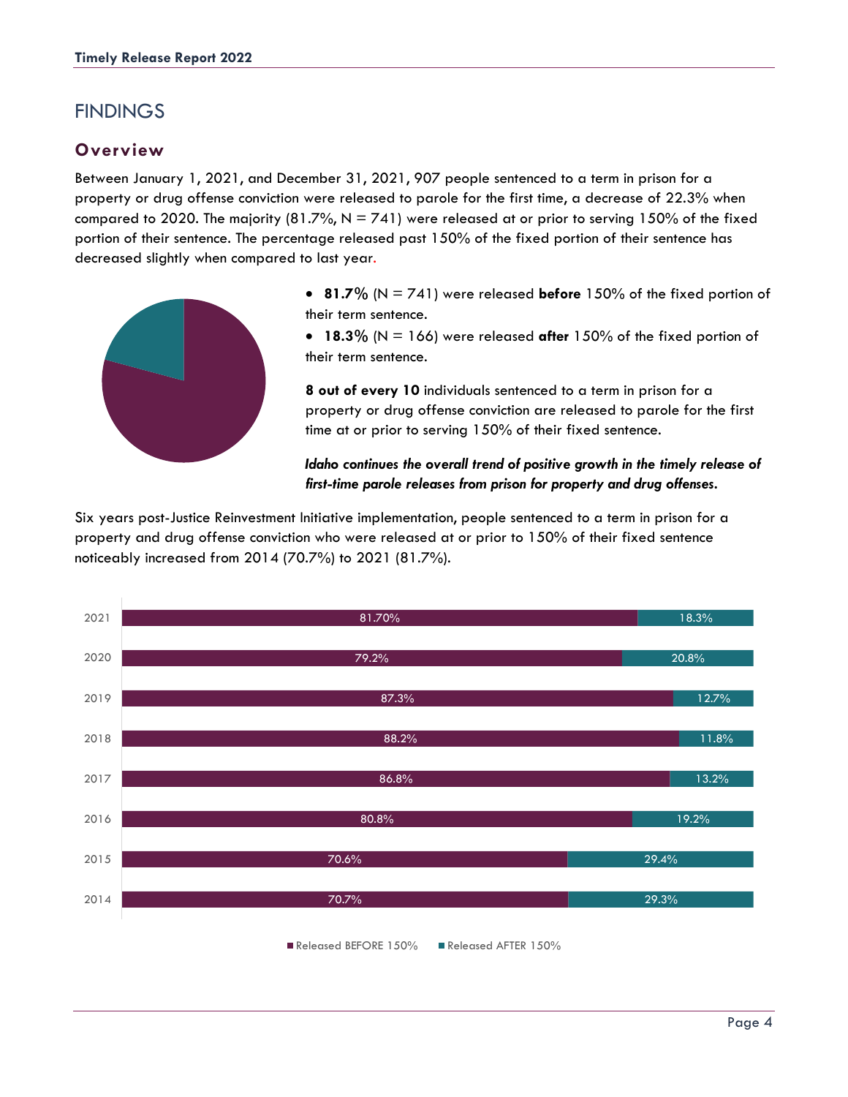## **FINDINGS**

#### **Overview**

Between January 1, 2021, and December 31, 2021, 907 people sentenced to a term in prison for a property or drug offense conviction were released to parole for the first time, a decrease of 22.3% when compared to 2020. The majority (81.7%,  $N = 741$ ) were released at or prior to serving 150% of the fixed portion of their sentence. The percentage released past 150% of the fixed portion of their sentence has decreased slightly when compared to last year.



• **81.7%** (N = 741) were released **before** 150% of the fixed portion of their term sentence.

• **18.3%** (N = 166) were released **after** 150% of the fixed portion of their term sentence.

**8 out of every 10** individuals sentenced to a term in prison for a property or drug offense conviction are released to parole for the first time at or prior to serving 150% of their fixed sentence.

#### *Idaho continues the overall trend of positive growth in the timely release of first-time parole releases from prison for property and drug offenses.*

Six years post-Justice Reinvestment Initiative implementation, people sentenced to a term in prison for a property and drug offense conviction who were released at or prior to 150% of their fixed sentence noticeably increased from 2014 (70.7%) to 2021 (81.7%).

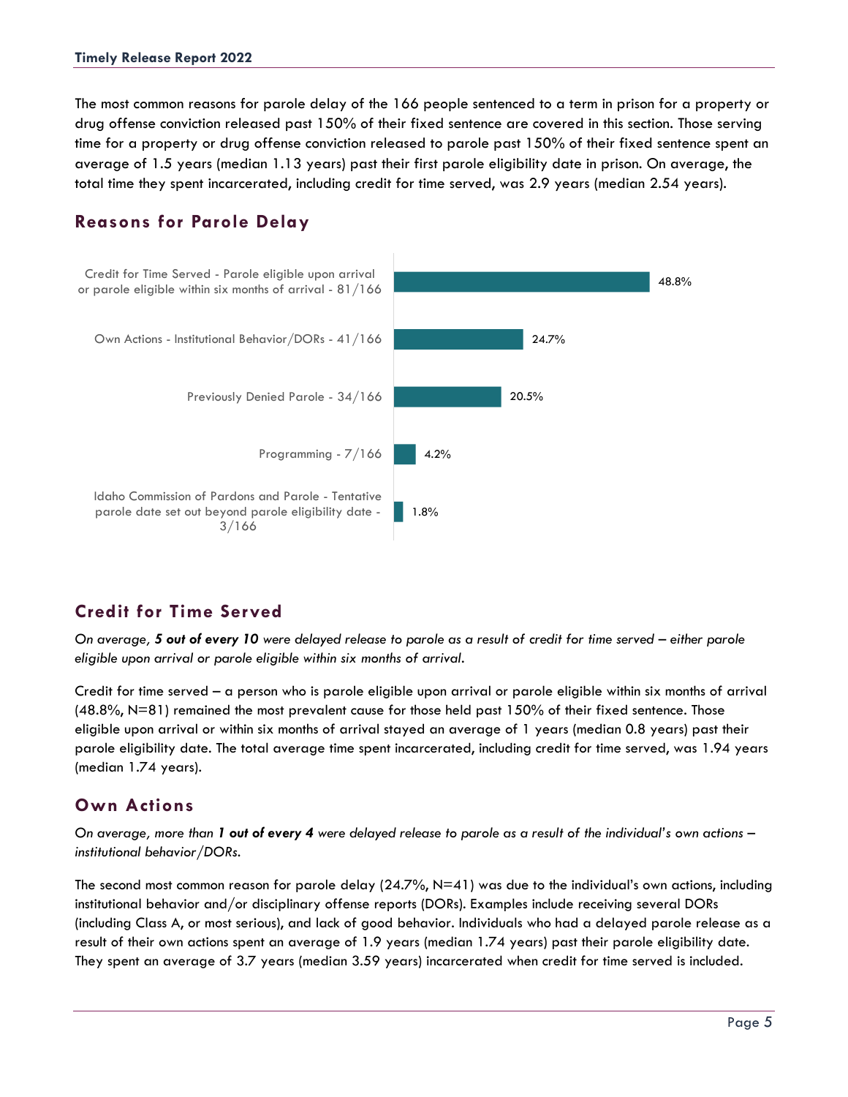The most common reasons for parole delay of the 166 people sentenced to a term in prison for a property or drug offense conviction released past 150% of their fixed sentence are covered in this section. Those serving time for a property or drug offense conviction released to parole past 150% of their fixed sentence spent an average of 1.5 years (median 1.13 years) past their first parole eligibility date in prison. On average, the total time they spent incarcerated, including credit for time served, was 2.9 years (median 2.54 years).

#### **Reasons for Parole Delay**



### **Credit for Time Served**

*On average, 5 out of every 10 were delayed release to parole as a result of credit for time served – either parole eligible upon arrival or parole eligible within six months of arrival.*

Credit for time served – a person who is parole eligible upon arrival or parole eligible within six months of arrival  $(48.8\%, N=81)$  remained the most prevalent cause for those held past 150% of their fixed sentence. Those eligible upon arrival or within six months of arrival stayed an average of 1 years (median 0.8 years) past their parole eligibility date. The total average time spent incarcerated, including credit for time served, was 1.94 years (median 1.74 years).

### **Own Actions**

*On average, more than 1 out of every 4 were delayed release to parole as a result of the individual's own actions – institutional behavior/DORs.*

The second most common reason for parole delay (24.7%, N=41) was due to the individual's own actions, including institutional behavior and/or disciplinary offense reports (DORs). Examples include receiving several DORs (including Class A, or most serious), and lack of good behavior. Individuals who had a delayed parole release as a result of their own actions spent an average of 1.9 years (median 1.74 years) past their parole eligibility date. They spent an average of 3.7 years (median 3.59 years) incarcerated when credit for time served is included.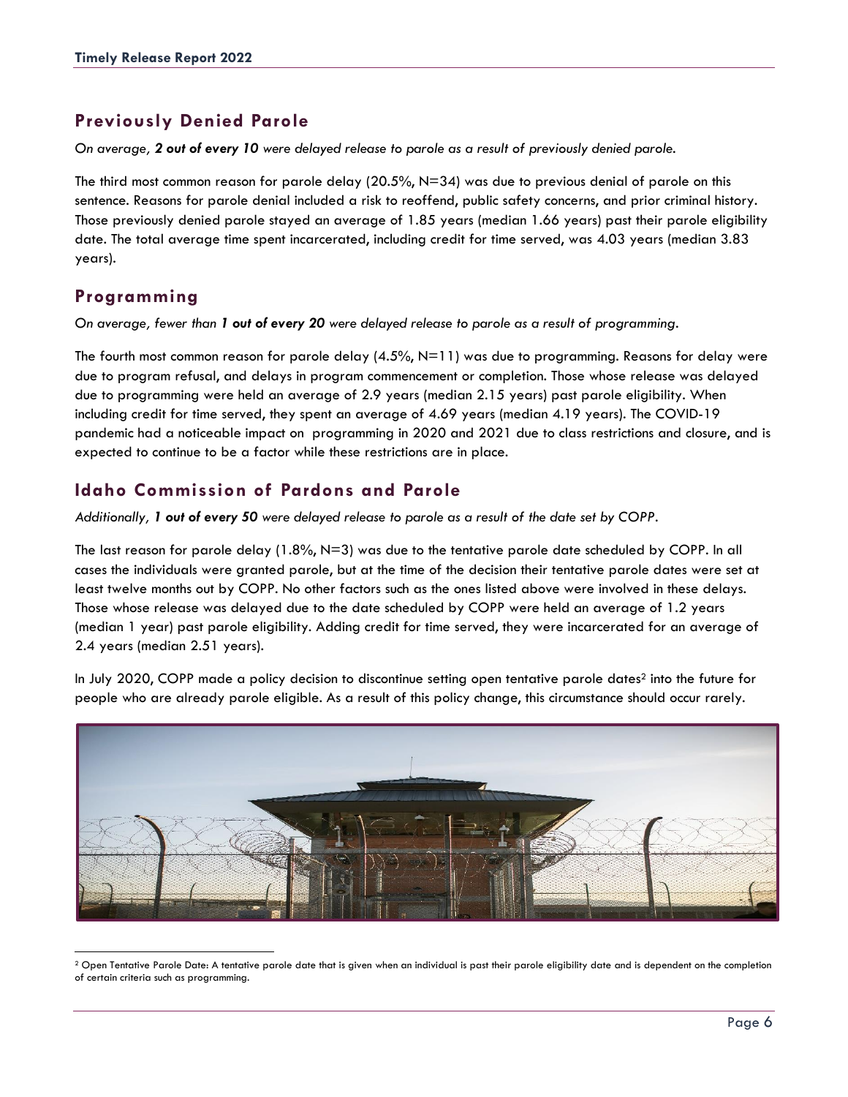## **Previously Denied Parole**

*On average, 2 out of every 10 were delayed release to parole as a result of previously denied parole.*

The third most common reason for parole delay (20.5%, N=34) was due to previous denial of parole on this sentence. Reasons for parole denial included a risk to reoffend, public safety concerns, and prior criminal history. Those previously denied parole stayed an average of 1.85 years (median 1.66 years) past their parole eligibility date. The total average time spent incarcerated, including credit for time served, was 4.03 years (median 3.83 years).

## **Programming**

*On average, fewer than 1 out of every 20 were delayed release to parole as a result of programming.*

The fourth most common reason for parole delay  $(4.5\%, N=11)$  was due to programming. Reasons for delay were due to program refusal, and delays in program commencement or completion. Those whose release was delayed due to programming were held an average of 2.9 years (median 2.15 years) past parole eligibility. When including credit for time served, they spent an average of 4.69 years (median 4.19 years). The COVID-19 pandemic had a noticeable impact on programming in 2020 and 2021 due to class restrictions and closure, and is expected to continue to be a factor while these restrictions are in place.

### **Idaho Commission of Pardons and Parole**

*Additionally, 1 out of every 50 were delayed release to parole as a result of the date set by COPP.*

The last reason for parole delay (1.8%, N=3) was due to the tentative parole date scheduled by COPP. In all cases the individuals were granted parole, but at the time of the decision their tentative parole dates were set at least twelve months out by COPP. No other factors such as the ones listed above were involved in these delays. Those whose release was delayed due to the date scheduled by COPP were held an average of 1.2 years (median 1 year) past parole eligibility. Adding credit for time served, they were incarcerated for an average of 2.4 years (median 2.51 years).

In July 2020, COPP made a policy decision to discontinue setting open tentative parole dates<sup>2</sup> into the future for people who are already parole eligible. As a result of this policy change, this circumstance should occur rarely.



<sup>&</sup>lt;sup>2</sup> Open Tentative Parole Date: A tentative parole date that is given when an individual is past their parole eligibility date and is dependent on the completion of certain criteria such as programming.